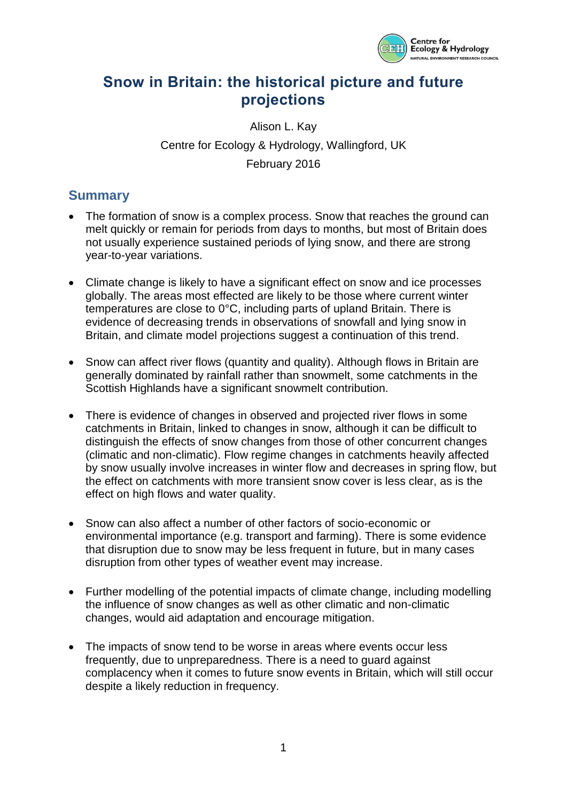

# **Snow in Britain: the historical picture and future projections**

Alison L. Kay Centre for Ecology & Hydrology, Wallingford, UK February 2016

## **Summary**

- The formation of snow is a complex process. Snow that reaches the ground can melt quickly or remain for periods from days to months, but most of Britain does not usually experience sustained periods of lying snow, and there are strong year-to-year variations.
- Climate change is likely to have a significant effect on snow and ice processes globally. The areas most effected are likely to be those where current winter temperatures are close to 0°C, including parts of upland Britain. There is evidence of decreasing trends in observations of snowfall and lying snow in Britain, and climate model projections suggest a continuation of this trend.
- Snow can affect river flows (quantity and quality). Although flows in Britain are generally dominated by rainfall rather than snowmelt, some catchments in the Scottish Highlands have a significant snowmelt contribution.
- There is evidence of changes in observed and projected river flows in some catchments in Britain, linked to changes in snow, although it can be difficult to distinguish the effects of snow changes from those of other concurrent changes (climatic and non-climatic). Flow regime changes in catchments heavily affected by snow usually involve increases in winter flow and decreases in spring flow, but the effect on catchments with more transient snow cover is less clear, as is the effect on high flows and water quality.
- Snow can also affect a number of other factors of socio-economic or environmental importance (e.g. transport and farming). There is some evidence that disruption due to snow may be less frequent in future, but in many cases disruption from other types of weather event may increase.
- Further modelling of the potential impacts of climate change, including modelling the influence of snow changes as well as other climatic and non-climatic changes, would aid adaptation and encourage mitigation.
- The impacts of snow tend to be worse in areas where events occur less frequently, due to unpreparedness. There is a need to guard against complacency when it comes to future snow events in Britain, which will still occur despite a likely reduction in frequency.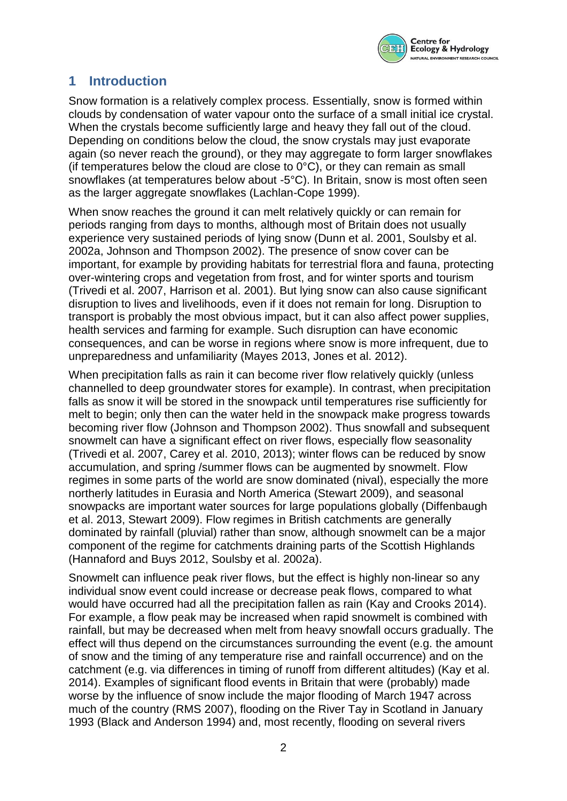

# **1 Introduction**

Snow formation is a relatively complex process. Essentially, snow is formed within clouds by condensation of water vapour onto the surface of a small initial ice crystal. When the crystals become sufficiently large and heavy they fall out of the cloud. Depending on conditions below the cloud, the snow crystals may just evaporate again (so never reach the ground), or they may aggregate to form larger snowflakes (if temperatures below the cloud are close to  $0^{\circ}$ C), or they can remain as small snowflakes (at temperatures below about -5°C). In Britain, snow is most often seen as the larger aggregate snowflakes (Lachlan-Cope 1999).

When snow reaches the ground it can melt relatively quickly or can remain for periods ranging from days to months, although most of Britain does not usually experience very sustained periods of lying snow (Dunn et al. 2001, Soulsby et al. 2002a, Johnson and Thompson 2002). The presence of snow cover can be important, for example by providing habitats for terrestrial flora and fauna, protecting over-wintering crops and vegetation from frost, and for winter sports and tourism (Trivedi et al. 2007, Harrison et al. 2001). But lying snow can also cause significant disruption to lives and livelihoods, even if it does not remain for long. Disruption to transport is probably the most obvious impact, but it can also affect power supplies, health services and farming for example. Such disruption can have economic consequences, and can be worse in regions where snow is more infrequent, due to unpreparedness and unfamiliarity (Mayes 2013, Jones et al. 2012).

When precipitation falls as rain it can become river flow relatively quickly (unless channelled to deep groundwater stores for example). In contrast, when precipitation falls as snow it will be stored in the snowpack until temperatures rise sufficiently for melt to begin; only then can the water held in the snowpack make progress towards becoming river flow (Johnson and Thompson 2002). Thus snowfall and subsequent snowmelt can have a significant effect on river flows, especially flow seasonality (Trivedi et al. 2007, Carey et al. 2010, 2013); winter flows can be reduced by snow accumulation, and spring /summer flows can be augmented by snowmelt. Flow regimes in some parts of the world are snow dominated (nival), especially the more northerly latitudes in Eurasia and North America (Stewart 2009), and seasonal snowpacks are important water sources for large populations globally (Diffenbaugh et al. 2013, Stewart 2009). Flow regimes in British catchments are generally dominated by rainfall (pluvial) rather than snow, although snowmelt can be a major component of the regime for catchments draining parts of the Scottish Highlands (Hannaford and Buys 2012, Soulsby et al. 2002a).

Snowmelt can influence peak river flows, but the effect is highly non-linear so any individual snow event could increase or decrease peak flows, compared to what would have occurred had all the precipitation fallen as rain (Kay and Crooks 2014). For example, a flow peak may be increased when rapid snowmelt is combined with rainfall, but may be decreased when melt from heavy snowfall occurs gradually. The effect will thus depend on the circumstances surrounding the event (e.g. the amount of snow and the timing of any temperature rise and rainfall occurrence) and on the catchment (e.g. via differences in timing of runoff from different altitudes) (Kay et al. 2014). Examples of significant flood events in Britain that were (probably) made worse by the influence of snow include the major flooding of March 1947 across much of the country (RMS 2007), flooding on the River Tay in Scotland in January 1993 (Black and Anderson 1994) and, most recently, flooding on several rivers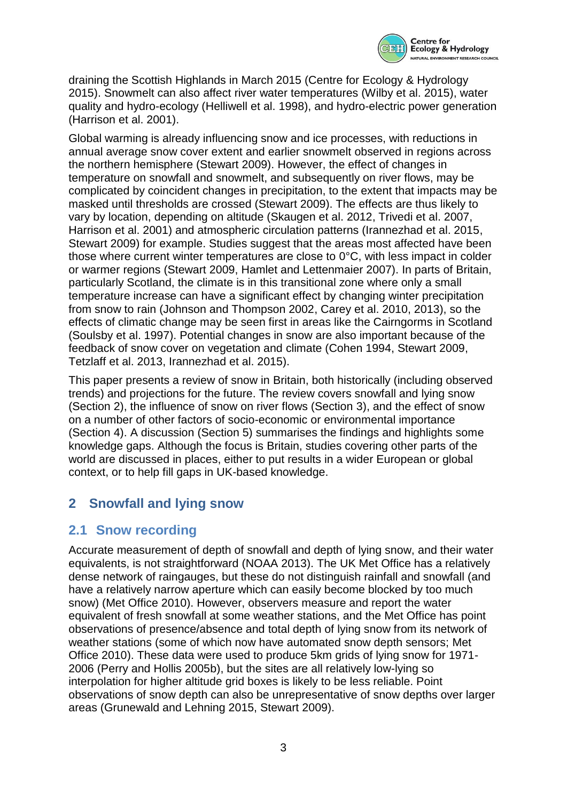

draining the Scottish Highlands in March 2015 (Centre for Ecology & Hydrology 2015). Snowmelt can also affect river water temperatures (Wilby et al. 2015), water quality and hydro-ecology (Helliwell et al. 1998), and hydro-electric power generation (Harrison et al. 2001).

Global warming is already influencing snow and ice processes, with reductions in annual average snow cover extent and earlier snowmelt observed in regions across the northern hemisphere (Stewart 2009). However, the effect of changes in temperature on snowfall and snowmelt, and subsequently on river flows, may be complicated by coincident changes in precipitation, to the extent that impacts may be masked until thresholds are crossed (Stewart 2009). The effects are thus likely to vary by location, depending on altitude (Skaugen et al. 2012, Trivedi et al. 2007, Harrison et al. 2001) and atmospheric circulation patterns (Irannezhad et al. 2015, Stewart 2009) for example. Studies suggest that the areas most affected have been those where current winter temperatures are close to 0°C, with less impact in colder or warmer regions (Stewart 2009, Hamlet and Lettenmaier 2007). In parts of Britain, particularly Scotland, the climate is in this transitional zone where only a small temperature increase can have a significant effect by changing winter precipitation from snow to rain (Johnson and Thompson 2002, Carey et al. 2010, 2013), so the effects of climatic change may be seen first in areas like the Cairngorms in Scotland (Soulsby et al. 1997). Potential changes in snow are also important because of the feedback of snow cover on vegetation and climate (Cohen 1994, Stewart 2009, Tetzlaff et al. 2013, Irannezhad et al. 2015).

This paper presents a review of snow in Britain, both historically (including observed trends) and projections for the future. The review covers snowfall and lying snow (Section [2\)](#page-2-0), the influence of snow on river flows (Section [3\)](#page-6-0), and the effect of snow on a number of other factors of socio-economic or environmental importance (Section [4\)](#page-12-0). A discussion (Section 5) summarises the findings and highlights some knowledge gaps. Although the focus is Britain, studies covering other parts of the world are discussed in places, either to put results in a wider European or global context, or to help fill gaps in UK-based knowledge.

# <span id="page-2-0"></span>**2 Snowfall and lying snow**

## **2.1 Snow recording**

Accurate measurement of depth of snowfall and depth of lying snow, and their water equivalents, is not straightforward (NOAA 2013). The UK Met Office has a relatively dense network of raingauges, but these do not distinguish rainfall and snowfall (and have a relatively narrow aperture which can easily become blocked by too much snow) (Met Office 2010). However, observers measure and report the water equivalent of fresh snowfall at some weather stations, and the Met Office has point observations of presence/absence and total depth of lying snow from its network of weather stations (some of which now have automated snow depth sensors; Met Office 2010). These data were used to produce 5km grids of lying snow for 1971- 2006 (Perry and Hollis 2005b), but the sites are all relatively low-lying so interpolation for higher altitude grid boxes is likely to be less reliable. Point observations of snow depth can also be unrepresentative of snow depths over larger areas (Grunewald and Lehning 2015, Stewart 2009).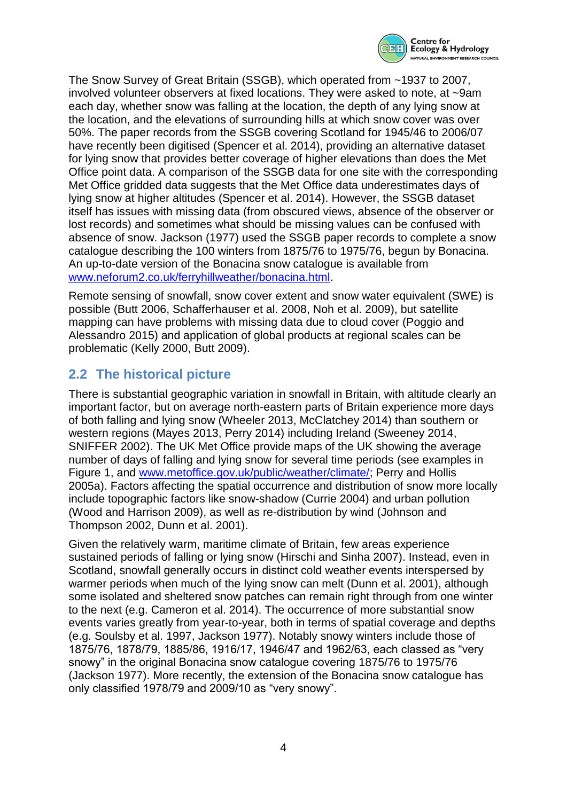

The Snow Survey of Great Britain (SSGB), which operated from ~1937 to 2007, involved volunteer observers at fixed locations. They were asked to note, at ~9am each day, whether snow was falling at the location, the depth of any lying snow at the location, and the elevations of surrounding hills at which snow cover was over 50%. The paper records from the SSGB covering Scotland for 1945/46 to 2006/07 have recently been digitised (Spencer et al. 2014), providing an alternative dataset for lying snow that provides better coverage of higher elevations than does the Met Office point data. A comparison of the SSGB data for one site with the corresponding Met Office gridded data suggests that the Met Office data underestimates days of lying snow at higher altitudes (Spencer et al. 2014). However, the SSGB dataset itself has issues with missing data (from obscured views, absence of the observer or lost records) and sometimes what should be missing values can be confused with absence of snow. Jackson (1977) used the SSGB paper records to complete a snow catalogue describing the 100 winters from 1875/76 to 1975/76, begun by Bonacina. An up-to-date version of the Bonacina snow catalogue is available from [www.neforum2.co.uk/ferryhillweather/bonacina.html.](http://www.neforum2.co.uk/ferryhillweather/bonacina.html)

Remote sensing of snowfall, snow cover extent and snow water equivalent (SWE) is possible (Butt 2006, Schafferhauser et al. 2008, Noh et al. 2009), but satellite mapping can have problems with missing data due to cloud cover (Poggio and Alessandro 2015) and application of global products at regional scales can be problematic (Kelly 2000, Butt 2009).

# **2.2 The historical picture**

There is substantial geographic variation in snowfall in Britain, with altitude clearly an important factor, but on average north-eastern parts of Britain experience more days of both falling and lying snow (Wheeler 2013, McClatchey 2014) than southern or western regions (Mayes 2013, Perry 2014) including Ireland (Sweeney 2014, SNIFFER 2002). The UK Met Office provide maps of the UK showing the average number of days of falling and lying snow for several time periods (see examples in [Figure 1,](#page-4-0) and [www.metoffice.gov.uk/public/weather/climate/;](http://www.metoffice.gov.uk/public/weather/climate/) Perry and Hollis 2005a). Factors affecting the spatial occurrence and distribution of snow more locally include topographic factors like snow-shadow (Currie 2004) and urban pollution (Wood and Harrison 2009), as well as re-distribution by wind (Johnson and Thompson 2002, Dunn et al. 2001).

Given the relatively warm, maritime climate of Britain, few areas experience sustained periods of falling or lying snow (Hirschi and Sinha 2007). Instead, even in Scotland, snowfall generally occurs in distinct cold weather events interspersed by warmer periods when much of the lying snow can melt (Dunn et al. 2001), although some isolated and sheltered snow patches can remain right through from one winter to the next (e.g. Cameron et al. 2014). The occurrence of more substantial snow events varies greatly from year-to-year, both in terms of spatial coverage and depths (e.g. Soulsby et al. 1997, Jackson 1977). Notably snowy winters include those of 1875/76, 1878/79, 1885/86, 1916/17, 1946/47 and 1962/63, each classed as "very snowy" in the original Bonacina snow catalogue covering 1875/76 to 1975/76 (Jackson 1977). More recently, the extension of the Bonacina snow catalogue has only classified 1978/79 and 2009/10 as "very snowy".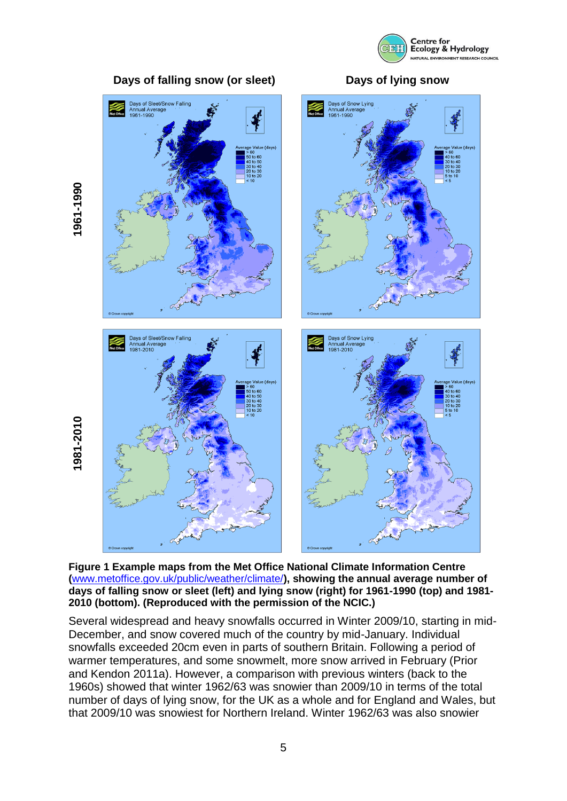





<span id="page-4-0"></span>**Figure 1 Example maps from the Met Office National Climate Information Centre (**[www.metoffice.gov.uk/public/weather/climate/](http://www.metoffice.gov.uk/public/weather/climate/)**), showing the annual average number of days of falling snow or sleet (left) and lying snow (right) for 1961-1990 (top) and 1981- 2010 (bottom). (Reproduced with the permission of the NCIC.)**

Several widespread and heavy snowfalls occurred in Winter 2009/10, starting in mid-December, and snow covered much of the country by mid-January. Individual snowfalls exceeded 20cm even in parts of southern Britain. Following a period of warmer temperatures, and some snowmelt, more snow arrived in February (Prior and Kendon 2011a). However, a comparison with previous winters (back to the 1960s) showed that winter 1962/63 was snowier than 2009/10 in terms of the total number of days of lying snow, for the UK as a whole and for England and Wales, but that 2009/10 was snowiest for Northern Ireland. Winter 1962/63 was also snowier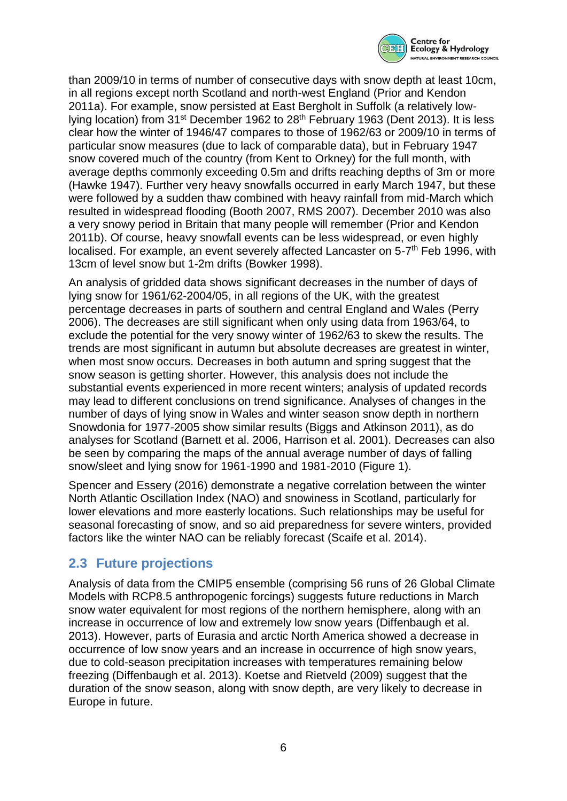

than 2009/10 in terms of number of consecutive days with snow depth at least 10cm, in all regions except north Scotland and north-west England (Prior and Kendon 2011a). For example, snow persisted at East Bergholt in Suffolk (a relatively lowlying location) from 31<sup>st</sup> December 1962 to 28<sup>th</sup> February 1963 (Dent 2013). It is less clear how the winter of 1946/47 compares to those of 1962/63 or 2009/10 in terms of particular snow measures (due to lack of comparable data), but in February 1947 snow covered much of the country (from Kent to Orkney) for the full month, with average depths commonly exceeding 0.5m and drifts reaching depths of 3m or more (Hawke 1947). Further very heavy snowfalls occurred in early March 1947, but these were followed by a sudden thaw combined with heavy rainfall from mid-March which resulted in widespread flooding (Booth 2007, RMS 2007). December 2010 was also a very snowy period in Britain that many people will remember (Prior and Kendon 2011b). Of course, heavy snowfall events can be less widespread, or even highly localised. For example, an event severely affected Lancaster on 5-7<sup>th</sup> Feb 1996, with 13cm of level snow but 1-2m drifts (Bowker 1998).

An analysis of gridded data shows significant decreases in the number of days of lying snow for 1961/62-2004/05, in all regions of the UK, with the greatest percentage decreases in parts of southern and central England and Wales (Perry 2006). The decreases are still significant when only using data from 1963/64, to exclude the potential for the very snowy winter of 1962/63 to skew the results. The trends are most significant in autumn but absolute decreases are greatest in winter, when most snow occurs. Decreases in both autumn and spring suggest that the snow season is getting shorter. However, this analysis does not include the substantial events experienced in more recent winters; analysis of updated records may lead to different conclusions on trend significance. Analyses of changes in the number of days of lying snow in Wales and winter season snow depth in northern Snowdonia for 1977-2005 show similar results (Biggs and Atkinson 2011), as do analyses for Scotland (Barnett et al. 2006, Harrison et al. 2001). Decreases can also be seen by comparing the maps of the annual average number of days of falling snow/sleet and lying snow for 1961-1990 and 1981-2010 [\(Figure 1\)](#page-4-0).

Spencer and Essery (2016) demonstrate a negative correlation between the winter North Atlantic Oscillation Index (NAO) and snowiness in Scotland, particularly for lower elevations and more easterly locations. Such relationships may be useful for seasonal forecasting of snow, and so aid preparedness for severe winters, provided factors like the winter NAO can be reliably forecast (Scaife et al. 2014).

## **2.3 Future projections**

Analysis of data from the CMIP5 ensemble (comprising 56 runs of 26 Global Climate Models with RCP8.5 anthropogenic forcings) suggests future reductions in March snow water equivalent for most regions of the northern hemisphere, along with an increase in occurrence of low and extremely low snow years (Diffenbaugh et al. 2013). However, parts of Eurasia and arctic North America showed a decrease in occurrence of low snow years and an increase in occurrence of high snow years, due to cold-season precipitation increases with temperatures remaining below freezing (Diffenbaugh et al. 2013). Koetse and Rietveld (2009) suggest that the duration of the snow season, along with snow depth, are very likely to decrease in Europe in future.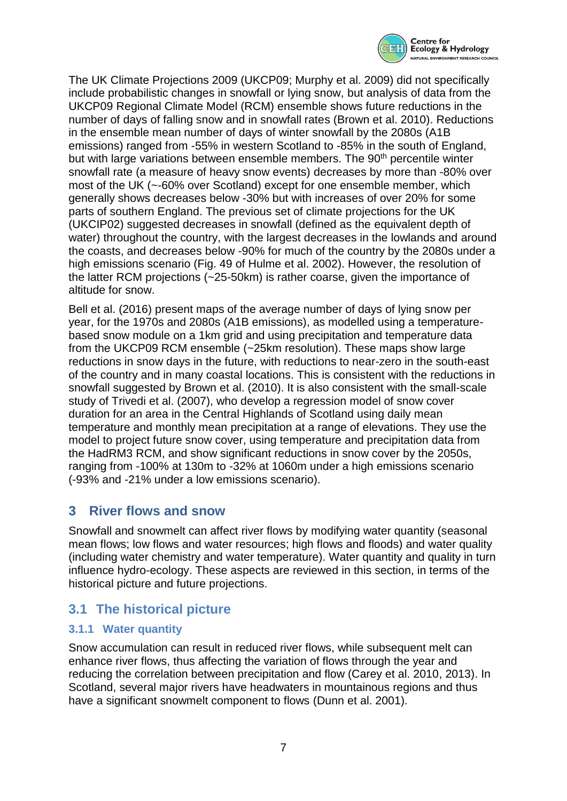

The UK Climate Projections 2009 (UKCP09; Murphy et al. 2009) did not specifically include probabilistic changes in snowfall or lying snow, but analysis of data from the UKCP09 Regional Climate Model (RCM) ensemble shows future reductions in the number of days of falling snow and in snowfall rates (Brown et al. 2010). Reductions in the ensemble mean number of days of winter snowfall by the 2080s (A1B emissions) ranged from -55% in western Scotland to -85% in the south of England, but with large variations between ensemble members. The 90<sup>th</sup> percentile winter snowfall rate (a measure of heavy snow events) decreases by more than -80% over most of the UK (~-60% over Scotland) except for one ensemble member, which generally shows decreases below -30% but with increases of over 20% for some parts of southern England. The previous set of climate projections for the UK (UKCIP02) suggested decreases in snowfall (defined as the equivalent depth of water) throughout the country, with the largest decreases in the lowlands and around the coasts, and decreases below -90% for much of the country by the 2080s under a high emissions scenario (Fig. 49 of Hulme et al. 2002). However, the resolution of the latter RCM projections (~25-50km) is rather coarse, given the importance of altitude for snow.

Bell et al. (2016) present maps of the average number of days of lying snow per year, for the 1970s and 2080s (A1B emissions), as modelled using a temperaturebased snow module on a 1km grid and using precipitation and temperature data from the UKCP09 RCM ensemble (~25km resolution). These maps show large reductions in snow days in the future, with reductions to near-zero in the south-east of the country and in many coastal locations. This is consistent with the reductions in snowfall suggested by Brown et al. (2010). It is also consistent with the small-scale study of Trivedi et al. (2007), who develop a regression model of snow cover duration for an area in the Central Highlands of Scotland using daily mean temperature and monthly mean precipitation at a range of elevations. They use the model to project future snow cover, using temperature and precipitation data from the HadRM3 RCM, and show significant reductions in snow cover by the 2050s, ranging from -100% at 130m to -32% at 1060m under a high emissions scenario (-93% and -21% under a low emissions scenario).

## <span id="page-6-0"></span>**3 River flows and snow**

Snowfall and snowmelt can affect river flows by modifying water quantity (seasonal mean flows; low flows and water resources; high flows and floods) and water quality (including water chemistry and water temperature). Water quantity and quality in turn influence hydro-ecology. These aspects are reviewed in this section, in terms of the historical picture and future projections.

# **3.1 The historical picture**

#### **3.1.1 Water quantity**

Snow accumulation can result in reduced river flows, while subsequent melt can enhance river flows, thus affecting the variation of flows through the year and reducing the correlation between precipitation and flow (Carey et al. 2010, 2013). In Scotland, several major rivers have headwaters in mountainous regions and thus have a significant snowmelt component to flows (Dunn et al. 2001).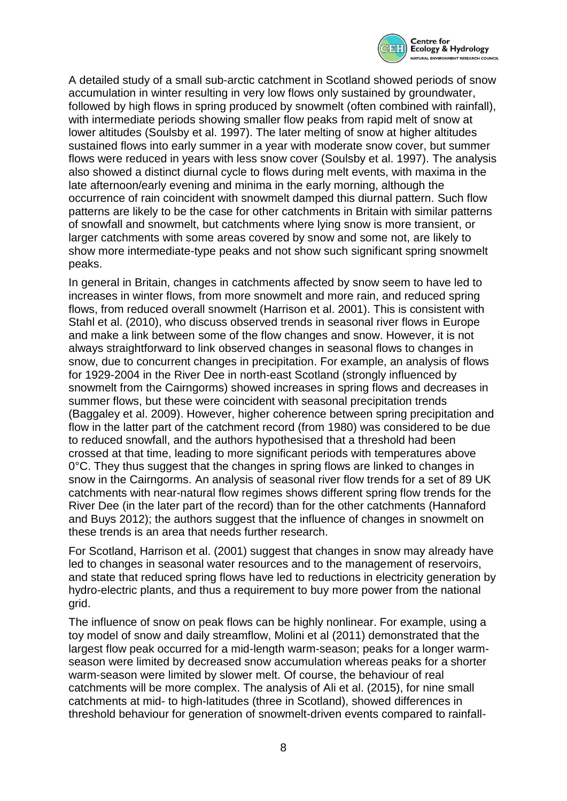

A detailed study of a small sub-arctic catchment in Scotland showed periods of snow accumulation in winter resulting in very low flows only sustained by groundwater, followed by high flows in spring produced by snowmelt (often combined with rainfall), with intermediate periods showing smaller flow peaks from rapid melt of snow at lower altitudes (Soulsby et al. 1997). The later melting of snow at higher altitudes sustained flows into early summer in a year with moderate snow cover, but summer flows were reduced in years with less snow cover (Soulsby et al. 1997). The analysis also showed a distinct diurnal cycle to flows during melt events, with maxima in the late afternoon/early evening and minima in the early morning, although the occurrence of rain coincident with snowmelt damped this diurnal pattern. Such flow patterns are likely to be the case for other catchments in Britain with similar patterns of snowfall and snowmelt, but catchments where lying snow is more transient, or larger catchments with some areas covered by snow and some not, are likely to show more intermediate-type peaks and not show such significant spring snowmelt peaks.

In general in Britain, changes in catchments affected by snow seem to have led to increases in winter flows, from more snowmelt and more rain, and reduced spring flows, from reduced overall snowmelt (Harrison et al. 2001). This is consistent with Stahl et al. (2010), who discuss observed trends in seasonal river flows in Europe and make a link between some of the flow changes and snow. However, it is not always straightforward to link observed changes in seasonal flows to changes in snow, due to concurrent changes in precipitation. For example, an analysis of flows for 1929-2004 in the River Dee in north-east Scotland (strongly influenced by snowmelt from the Cairngorms) showed increases in spring flows and decreases in summer flows, but these were coincident with seasonal precipitation trends (Baggaley et al. 2009). However, higher coherence between spring precipitation and flow in the latter part of the catchment record (from 1980) was considered to be due to reduced snowfall, and the authors hypothesised that a threshold had been crossed at that time, leading to more significant periods with temperatures above 0°C. They thus suggest that the changes in spring flows are linked to changes in snow in the Cairngorms. An analysis of seasonal river flow trends for a set of 89 UK catchments with near-natural flow regimes shows different spring flow trends for the River Dee (in the later part of the record) than for the other catchments (Hannaford and Buys 2012); the authors suggest that the influence of changes in snowmelt on these trends is an area that needs further research.

For Scotland, Harrison et al. (2001) suggest that changes in snow may already have led to changes in seasonal water resources and to the management of reservoirs, and state that reduced spring flows have led to reductions in electricity generation by hydro-electric plants, and thus a requirement to buy more power from the national grid.

The influence of snow on peak flows can be highly nonlinear. For example, using a toy model of snow and daily streamflow, Molini et al (2011) demonstrated that the largest flow peak occurred for a mid-length warm-season; peaks for a longer warmseason were limited by decreased snow accumulation whereas peaks for a shorter warm-season were limited by slower melt. Of course, the behaviour of real catchments will be more complex. The analysis of Ali et al. (2015), for nine small catchments at mid- to high-latitudes (three in Scotland), showed differences in threshold behaviour for generation of snowmelt-driven events compared to rainfall-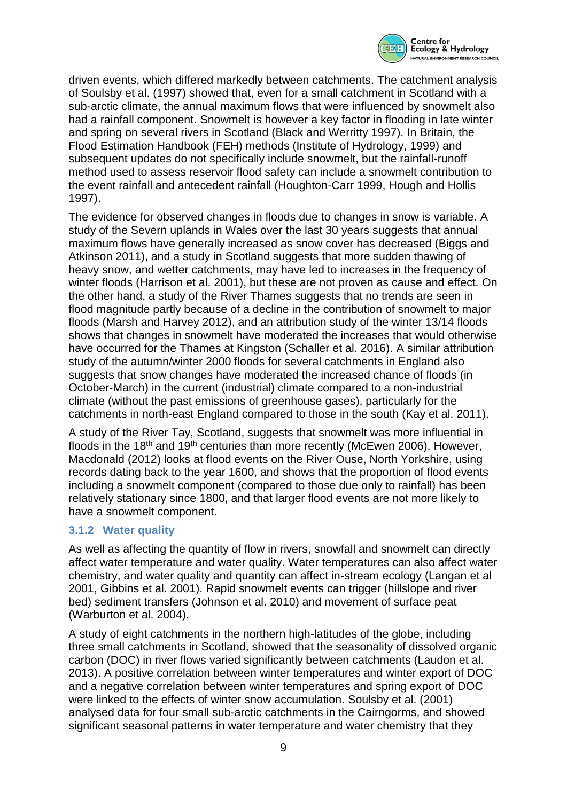

driven events, which differed markedly between catchments. The catchment analysis of Soulsby et al. (1997) showed that, even for a small catchment in Scotland with a sub-arctic climate, the annual maximum flows that were influenced by snowmelt also had a rainfall component. Snowmelt is however a key factor in flooding in late winter and spring on several rivers in Scotland (Black and Werritty 1997). In Britain, the Flood Estimation Handbook (FEH) methods (Institute of Hydrology, 1999) and subsequent updates do not specifically include snowmelt, but the rainfall-runoff method used to assess reservoir flood safety can include a snowmelt contribution to the event rainfall and antecedent rainfall (Houghton-Carr 1999, Hough and Hollis 1997).

The evidence for observed changes in floods due to changes in snow is variable. A study of the Severn uplands in Wales over the last 30 years suggests that annual maximum flows have generally increased as snow cover has decreased (Biggs and Atkinson 2011), and a study in Scotland suggests that more sudden thawing of heavy snow, and wetter catchments, may have led to increases in the frequency of winter floods (Harrison et al. 2001), but these are not proven as cause and effect. On the other hand, a study of the River Thames suggests that no trends are seen in flood magnitude partly because of a decline in the contribution of snowmelt to major floods (Marsh and Harvey 2012), and an attribution study of the winter 13/14 floods shows that changes in snowmelt have moderated the increases that would otherwise have occurred for the Thames at Kingston (Schaller et al. 2016). A similar attribution study of the autumn/winter 2000 floods for several catchments in England also suggests that snow changes have moderated the increased chance of floods (in October-March) in the current (industrial) climate compared to a non-industrial climate (without the past emissions of greenhouse gases), particularly for the catchments in north-east England compared to those in the south (Kay et al. 2011).

A study of the River Tay, Scotland, suggests that snowmelt was more influential in floods in the 18<sup>th</sup> and 19<sup>th</sup> centuries than more recently (McEwen 2006). However, Macdonald (2012) looks at flood events on the River Ouse, North Yorkshire, using records dating back to the year 1600, and shows that the proportion of flood events including a snowmelt component (compared to those due only to rainfall) has been relatively stationary since 1800, and that larger flood events are not more likely to have a snowmelt component.

## **3.1.2 Water quality**

As well as affecting the quantity of flow in rivers, snowfall and snowmelt can directly affect water temperature and water quality. Water temperatures can also affect water chemistry, and water quality and quantity can affect in-stream ecology (Langan et al 2001, Gibbins et al. 2001). Rapid snowmelt events can trigger (hillslope and river bed) sediment transfers (Johnson et al. 2010) and movement of surface peat (Warburton et al. 2004).

A study of eight catchments in the northern high-latitudes of the globe, including three small catchments in Scotland, showed that the seasonality of dissolved organic carbon (DOC) in river flows varied significantly between catchments (Laudon et al. 2013). A positive correlation between winter temperatures and winter export of DOC and a negative correlation between winter temperatures and spring export of DOC were linked to the effects of winter snow accumulation. Soulsby et al. (2001) analysed data for four small sub-arctic catchments in the Cairngorms, and showed significant seasonal patterns in water temperature and water chemistry that they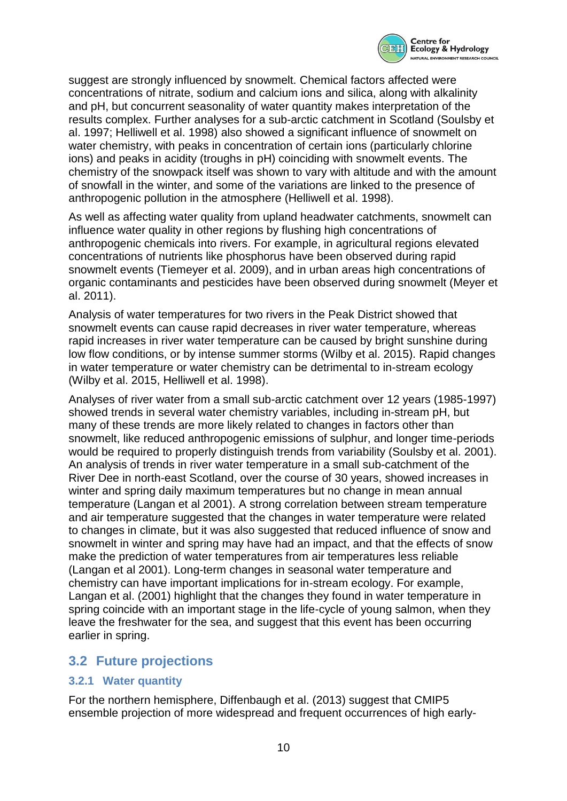

suggest are strongly influenced by snowmelt. Chemical factors affected were concentrations of nitrate, sodium and calcium ions and silica, along with alkalinity and pH, but concurrent seasonality of water quantity makes interpretation of the results complex. Further analyses for a sub-arctic catchment in Scotland (Soulsby et al. 1997; Helliwell et al. 1998) also showed a significant influence of snowmelt on water chemistry, with peaks in concentration of certain ions (particularly chlorine ions) and peaks in acidity (troughs in pH) coinciding with snowmelt events. The chemistry of the snowpack itself was shown to vary with altitude and with the amount of snowfall in the winter, and some of the variations are linked to the presence of anthropogenic pollution in the atmosphere (Helliwell et al. 1998).

As well as affecting water quality from upland headwater catchments, snowmelt can influence water quality in other regions by flushing high concentrations of anthropogenic chemicals into rivers. For example, in agricultural regions elevated concentrations of nutrients like phosphorus have been observed during rapid snowmelt events (Tiemeyer et al. 2009), and in urban areas high concentrations of organic contaminants and pesticides have been observed during snowmelt (Meyer et al. 2011).

Analysis of water temperatures for two rivers in the Peak District showed that snowmelt events can cause rapid decreases in river water temperature, whereas rapid increases in river water temperature can be caused by bright sunshine during low flow conditions, or by intense summer storms (Wilby et al. 2015). Rapid changes in water temperature or water chemistry can be detrimental to in-stream ecology (Wilby et al. 2015, Helliwell et al. 1998).

Analyses of river water from a small sub-arctic catchment over 12 years (1985-1997) showed trends in several water chemistry variables, including in-stream pH, but many of these trends are more likely related to changes in factors other than snowmelt, like reduced anthropogenic emissions of sulphur, and longer time-periods would be required to properly distinguish trends from variability (Soulsby et al. 2001). An analysis of trends in river water temperature in a small sub-catchment of the River Dee in north-east Scotland, over the course of 30 years, showed increases in winter and spring daily maximum temperatures but no change in mean annual temperature (Langan et al 2001). A strong correlation between stream temperature and air temperature suggested that the changes in water temperature were related to changes in climate, but it was also suggested that reduced influence of snow and snowmelt in winter and spring may have had an impact, and that the effects of snow make the prediction of water temperatures from air temperatures less reliable (Langan et al 2001). Long-term changes in seasonal water temperature and chemistry can have important implications for in-stream ecology. For example, Langan et al. (2001) highlight that the changes they found in water temperature in spring coincide with an important stage in the life-cycle of young salmon, when they leave the freshwater for the sea, and suggest that this event has been occurring earlier in spring.

## **3.2 Future projections**

#### **3.2.1 Water quantity**

For the northern hemisphere, Diffenbaugh et al. (2013) suggest that CMIP5 ensemble projection of more widespread and frequent occurrences of high early-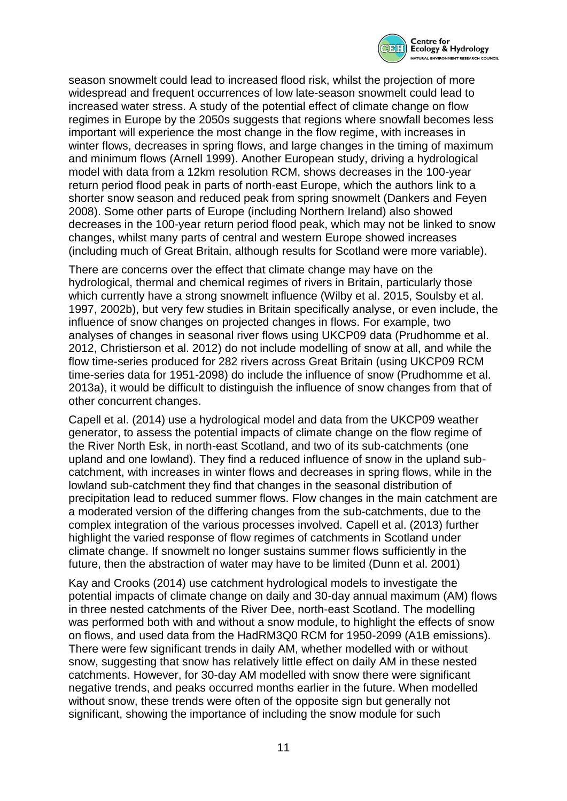

season snowmelt could lead to increased flood risk, whilst the projection of more widespread and frequent occurrences of low late-season snowmelt could lead to increased water stress. A study of the potential effect of climate change on flow regimes in Europe by the 2050s suggests that regions where snowfall becomes less important will experience the most change in the flow regime, with increases in winter flows, decreases in spring flows, and large changes in the timing of maximum and minimum flows (Arnell 1999). Another European study, driving a hydrological model with data from a 12km resolution RCM, shows decreases in the 100-year return period flood peak in parts of north-east Europe, which the authors link to a shorter snow season and reduced peak from spring snowmelt (Dankers and Feyen 2008). Some other parts of Europe (including Northern Ireland) also showed decreases in the 100-year return period flood peak, which may not be linked to snow changes, whilst many parts of central and western Europe showed increases (including much of Great Britain, although results for Scotland were more variable).

There are concerns over the effect that climate change may have on the hydrological, thermal and chemical regimes of rivers in Britain, particularly those which currently have a strong snowmelt influence (Wilby et al. 2015, Soulsby et al. 1997, 2002b), but very few studies in Britain specifically analyse, or even include, the influence of snow changes on projected changes in flows. For example, two analyses of changes in seasonal river flows using UKCP09 data (Prudhomme et al. 2012, Christierson et al. 2012) do not include modelling of snow at all, and while the flow time-series produced for 282 rivers across Great Britain (using UKCP09 RCM time-series data for 1951-2098) do include the influence of snow (Prudhomme et al. 2013a), it would be difficult to distinguish the influence of snow changes from that of other concurrent changes.

Capell et al. (2014) use a hydrological model and data from the UKCP09 weather generator, to assess the potential impacts of climate change on the flow regime of the River North Esk, in north-east Scotland, and two of its sub-catchments (one upland and one lowland). They find a reduced influence of snow in the upland subcatchment, with increases in winter flows and decreases in spring flows, while in the lowland sub-catchment they find that changes in the seasonal distribution of precipitation lead to reduced summer flows. Flow changes in the main catchment are a moderated version of the differing changes from the sub-catchments, due to the complex integration of the various processes involved. Capell et al. (2013) further highlight the varied response of flow regimes of catchments in Scotland under climate change. If snowmelt no longer sustains summer flows sufficiently in the future, then the abstraction of water may have to be limited (Dunn et al. 2001)

Kay and Crooks (2014) use catchment hydrological models to investigate the potential impacts of climate change on daily and 30-day annual maximum (AM) flows in three nested catchments of the River Dee, north-east Scotland. The modelling was performed both with and without a snow module, to highlight the effects of snow on flows, and used data from the HadRM3Q0 RCM for 1950-2099 (A1B emissions). There were few significant trends in daily AM, whether modelled with or without snow, suggesting that snow has relatively little effect on daily AM in these nested catchments. However, for 30-day AM modelled with snow there were significant negative trends, and peaks occurred months earlier in the future. When modelled without snow, these trends were often of the opposite sign but generally not significant, showing the importance of including the snow module for such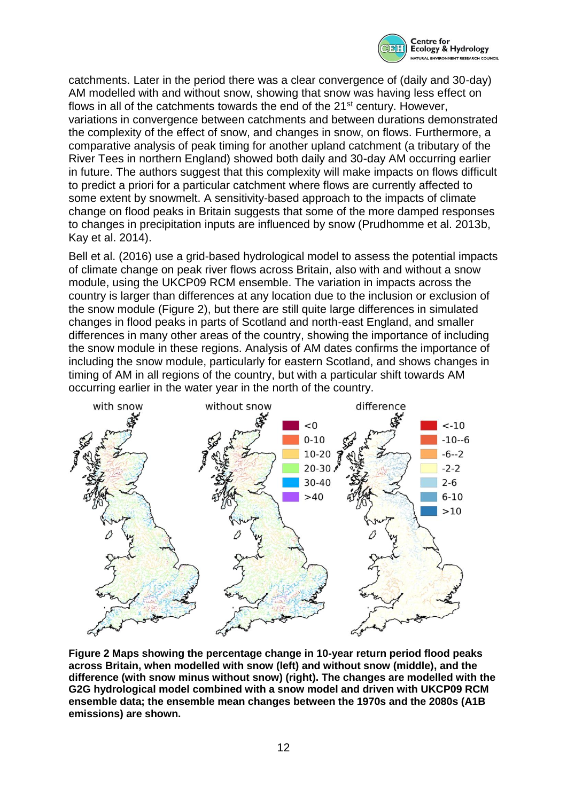

catchments. Later in the period there was a clear convergence of (daily and 30-day) AM modelled with and without snow, showing that snow was having less effect on flows in all of the catchments towards the end of the 21st century. However, variations in convergence between catchments and between durations demonstrated the complexity of the effect of snow, and changes in snow, on flows. Furthermore, a comparative analysis of peak timing for another upland catchment (a tributary of the River Tees in northern England) showed both daily and 30-day AM occurring earlier in future. The authors suggest that this complexity will make impacts on flows difficult to predict a priori for a particular catchment where flows are currently affected to some extent by snowmelt. A sensitivity-based approach to the impacts of climate change on flood peaks in Britain suggests that some of the more damped responses to changes in precipitation inputs are influenced by snow (Prudhomme et al. 2013b, Kay et al. 2014).

Bell et al. (2016) use a grid-based hydrological model to assess the potential impacts of climate change on peak river flows across Britain, also with and without a snow module, using the UKCP09 RCM ensemble. The variation in impacts across the country is larger than differences at any location due to the inclusion or exclusion of the snow module [\(Figure 2\)](#page-11-0), but there are still quite large differences in simulated changes in flood peaks in parts of Scotland and north-east England, and smaller differences in many other areas of the country, showing the importance of including the snow module in these regions. Analysis of AM dates confirms the importance of including the snow module, particularly for eastern Scotland, and shows changes in timing of AM in all regions of the country, but with a particular shift towards AM occurring earlier in the water year in the north of the country.



<span id="page-11-0"></span>**Figure 2 Maps showing the percentage change in 10-year return period flood peaks across Britain, when modelled with snow (left) and without snow (middle), and the difference (with snow minus without snow) (right). The changes are modelled with the G2G hydrological model combined with a snow model and driven with UKCP09 RCM ensemble data; the ensemble mean changes between the 1970s and the 2080s (A1B emissions) are shown.**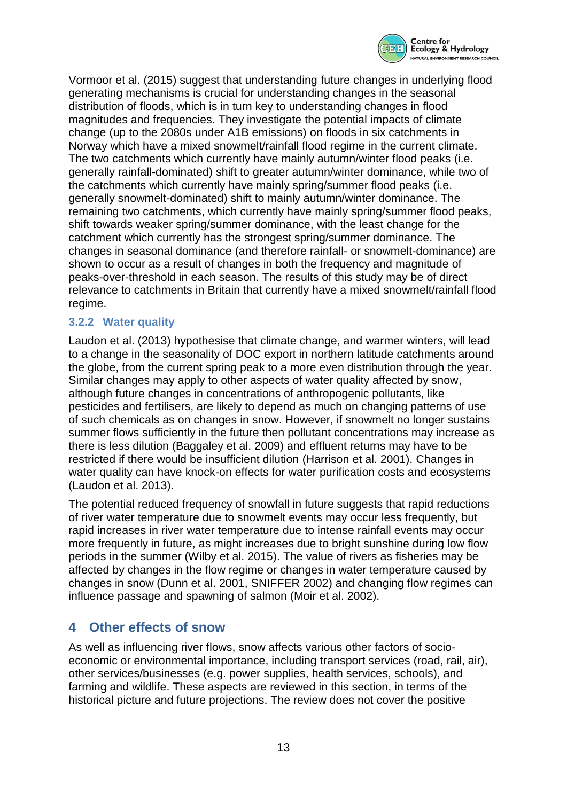

Vormoor et al. (2015) suggest that understanding future changes in underlying flood generating mechanisms is crucial for understanding changes in the seasonal distribution of floods, which is in turn key to understanding changes in flood magnitudes and frequencies. They investigate the potential impacts of climate change (up to the 2080s under A1B emissions) on floods in six catchments in Norway which have a mixed snowmelt/rainfall flood regime in the current climate. The two catchments which currently have mainly autumn/winter flood peaks (i.e. generally rainfall-dominated) shift to greater autumn/winter dominance, while two of the catchments which currently have mainly spring/summer flood peaks (i.e. generally snowmelt-dominated) shift to mainly autumn/winter dominance. The remaining two catchments, which currently have mainly spring/summer flood peaks, shift towards weaker spring/summer dominance, with the least change for the catchment which currently has the strongest spring/summer dominance. The changes in seasonal dominance (and therefore rainfall- or snowmelt-dominance) are shown to occur as a result of changes in both the frequency and magnitude of peaks-over-threshold in each season. The results of this study may be of direct relevance to catchments in Britain that currently have a mixed snowmelt/rainfall flood regime.

### **3.2.2 Water quality**

Laudon et al. (2013) hypothesise that climate change, and warmer winters, will lead to a change in the seasonality of DOC export in northern latitude catchments around the globe, from the current spring peak to a more even distribution through the year. Similar changes may apply to other aspects of water quality affected by snow, although future changes in concentrations of anthropogenic pollutants, like pesticides and fertilisers, are likely to depend as much on changing patterns of use of such chemicals as on changes in snow. However, if snowmelt no longer sustains summer flows sufficiently in the future then pollutant concentrations may increase as there is less dilution (Baggaley et al. 2009) and effluent returns may have to be restricted if there would be insufficient dilution (Harrison et al. 2001). Changes in water quality can have knock-on effects for water purification costs and ecosystems (Laudon et al. 2013).

The potential reduced frequency of snowfall in future suggests that rapid reductions of river water temperature due to snowmelt events may occur less frequently, but rapid increases in river water temperature due to intense rainfall events may occur more frequently in future, as might increases due to bright sunshine during low flow periods in the summer (Wilby et al. 2015). The value of rivers as fisheries may be affected by changes in the flow regime or changes in water temperature caused by changes in snow (Dunn et al. 2001, SNIFFER 2002) and changing flow regimes can influence passage and spawning of salmon (Moir et al. 2002).

## <span id="page-12-0"></span>**4 Other effects of snow**

As well as influencing river flows, snow affects various other factors of socioeconomic or environmental importance, including transport services (road, rail, air), other services/businesses (e.g. power supplies, health services, schools), and farming and wildlife. These aspects are reviewed in this section, in terms of the historical picture and future projections. The review does not cover the positive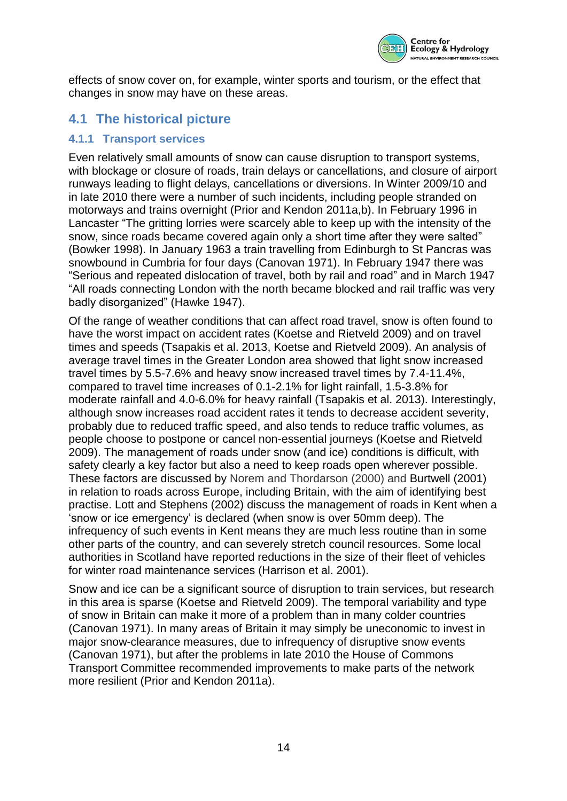

effects of snow cover on, for example, winter sports and tourism, or the effect that changes in snow may have on these areas.

# **4.1 The historical picture**

#### **4.1.1 Transport services**

Even relatively small amounts of snow can cause disruption to transport systems, with blockage or closure of roads, train delays or cancellations, and closure of airport runways leading to flight delays, cancellations or diversions. In Winter 2009/10 and in late 2010 there were a number of such incidents, including people stranded on motorways and trains overnight (Prior and Kendon 2011a,b). In February 1996 in Lancaster "The gritting lorries were scarcely able to keep up with the intensity of the snow, since roads became covered again only a short time after they were salted" (Bowker 1998). In January 1963 a train travelling from Edinburgh to St Pancras was snowbound in Cumbria for four days (Canovan 1971). In February 1947 there was "Serious and repeated dislocation of travel, both by rail and road" and in March 1947 "All roads connecting London with the north became blocked and rail traffic was very badly disorganized" (Hawke 1947).

Of the range of weather conditions that can affect road travel, snow is often found to have the worst impact on accident rates (Koetse and Rietveld 2009) and on travel times and speeds (Tsapakis et al. 2013, Koetse and Rietveld 2009). An analysis of average travel times in the Greater London area showed that light snow increased travel times by 5.5-7.6% and heavy snow increased travel times by 7.4-11.4%, compared to travel time increases of 0.1-2.1% for light rainfall, 1.5-3.8% for moderate rainfall and 4.0-6.0% for heavy rainfall (Tsapakis et al. 2013). Interestingly, although snow increases road accident rates it tends to decrease accident severity, probably due to reduced traffic speed, and also tends to reduce traffic volumes, as people choose to postpone or cancel non-essential journeys (Koetse and Rietveld 2009). The management of roads under snow (and ice) conditions is difficult, with safety clearly a key factor but also a need to keep roads open wherever possible. These factors are discussed by Norem and Thordarson (2000) and Burtwell (2001) in relation to roads across Europe, including Britain, with the aim of identifying best practise. Lott and Stephens (2002) discuss the management of roads in Kent when a 'snow or ice emergency' is declared (when snow is over 50mm deep). The infrequency of such events in Kent means they are much less routine than in some other parts of the country, and can severely stretch council resources. Some local authorities in Scotland have reported reductions in the size of their fleet of vehicles for winter road maintenance services (Harrison et al. 2001).

Snow and ice can be a significant source of disruption to train services, but research in this area is sparse (Koetse and Rietveld 2009). The temporal variability and type of snow in Britain can make it more of a problem than in many colder countries (Canovan 1971). In many areas of Britain it may simply be uneconomic to invest in major snow-clearance measures, due to infrequency of disruptive snow events (Canovan 1971), but after the problems in late 2010 the House of Commons Transport Committee recommended improvements to make parts of the network more resilient (Prior and Kendon 2011a).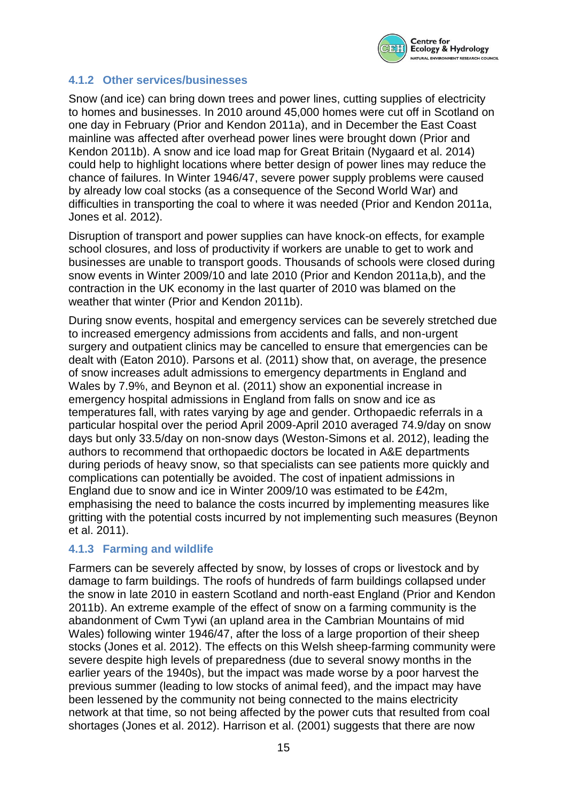

#### **4.1.2 Other services/businesses**

Snow (and ice) can bring down trees and power lines, cutting supplies of electricity to homes and businesses. In 2010 around 45,000 homes were cut off in Scotland on one day in February (Prior and Kendon 2011a), and in December the East Coast mainline was affected after overhead power lines were brought down (Prior and Kendon 2011b). A snow and ice load map for Great Britain (Nygaard et al. 2014) could help to highlight locations where better design of power lines may reduce the chance of failures. In Winter 1946/47, severe power supply problems were caused by already low coal stocks (as a consequence of the Second World War) and difficulties in transporting the coal to where it was needed (Prior and Kendon 2011a, Jones et al. 2012).

Disruption of transport and power supplies can have knock-on effects, for example school closures, and loss of productivity if workers are unable to get to work and businesses are unable to transport goods. Thousands of schools were closed during snow events in Winter 2009/10 and late 2010 (Prior and Kendon 2011a,b), and the contraction in the UK economy in the last quarter of 2010 was blamed on the weather that winter (Prior and Kendon 2011b).

During snow events, hospital and emergency services can be severely stretched due to increased emergency admissions from accidents and falls, and non-urgent surgery and outpatient clinics may be cancelled to ensure that emergencies can be dealt with (Eaton 2010). Parsons et al. (2011) show that, on average, the presence of snow increases adult admissions to emergency departments in England and Wales by 7.9%, and Beynon et al. (2011) show an exponential increase in emergency hospital admissions in England from falls on snow and ice as temperatures fall, with rates varying by age and gender. Orthopaedic referrals in a particular hospital over the period April 2009-April 2010 averaged 74.9/day on snow days but only 33.5/day on non-snow days (Weston-Simons et al. 2012), leading the authors to recommend that orthopaedic doctors be located in A&E departments during periods of heavy snow, so that specialists can see patients more quickly and complications can potentially be avoided. The cost of inpatient admissions in England due to snow and ice in Winter 2009/10 was estimated to be £42m, emphasising the need to balance the costs incurred by implementing measures like gritting with the potential costs incurred by not implementing such measures (Beynon et al. 2011).

#### **4.1.3 Farming and wildlife**

Farmers can be severely affected by snow, by losses of crops or livestock and by damage to farm buildings. The roofs of hundreds of farm buildings collapsed under the snow in late 2010 in eastern Scotland and north-east England (Prior and Kendon 2011b). An extreme example of the effect of snow on a farming community is the abandonment of Cwm Tywi (an upland area in the Cambrian Mountains of mid Wales) following winter 1946/47, after the loss of a large proportion of their sheep stocks (Jones et al. 2012). The effects on this Welsh sheep-farming community were severe despite high levels of preparedness (due to several snowy months in the earlier years of the 1940s), but the impact was made worse by a poor harvest the previous summer (leading to low stocks of animal feed), and the impact may have been lessened by the community not being connected to the mains electricity network at that time, so not being affected by the power cuts that resulted from coal shortages (Jones et al. 2012). Harrison et al. (2001) suggests that there are now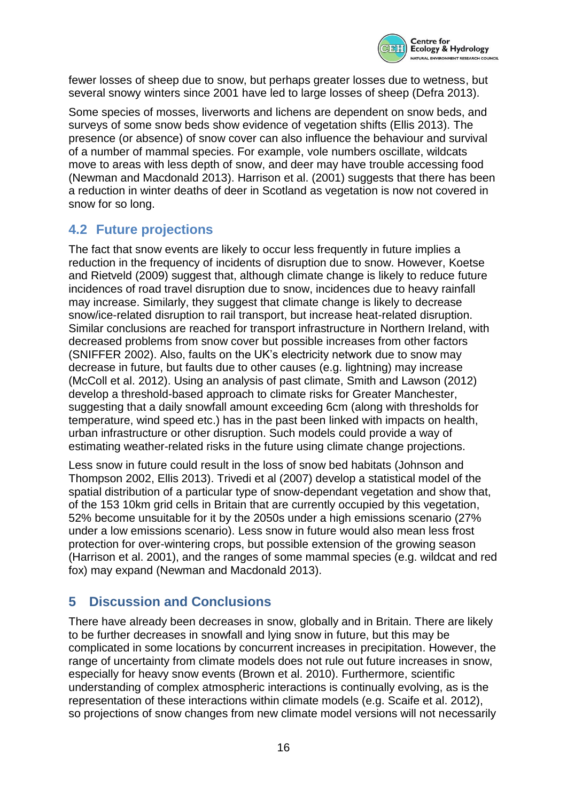

fewer losses of sheep due to snow, but perhaps greater losses due to wetness, but several snowy winters since 2001 have led to large losses of sheep (Defra 2013).

Some species of mosses, liverworts and lichens are dependent on snow beds, and surveys of some snow beds show evidence of vegetation shifts (Ellis 2013). The presence (or absence) of snow cover can also influence the behaviour and survival of a number of mammal species. For example, vole numbers oscillate, wildcats move to areas with less depth of snow, and deer may have trouble accessing food (Newman and Macdonald 2013). Harrison et al. (2001) suggests that there has been a reduction in winter deaths of deer in Scotland as vegetation is now not covered in snow for so long.

## **4.2 Future projections**

The fact that snow events are likely to occur less frequently in future implies a reduction in the frequency of incidents of disruption due to snow. However, Koetse and Rietveld (2009) suggest that, although climate change is likely to reduce future incidences of road travel disruption due to snow, incidences due to heavy rainfall may increase. Similarly, they suggest that climate change is likely to decrease snow/ice-related disruption to rail transport, but increase heat-related disruption. Similar conclusions are reached for transport infrastructure in Northern Ireland, with decreased problems from snow cover but possible increases from other factors (SNIFFER 2002). Also, faults on the UK's electricity network due to snow may decrease in future, but faults due to other causes (e.g. lightning) may increase (McColl et al. 2012). Using an analysis of past climate, Smith and Lawson (2012) develop a threshold-based approach to climate risks for Greater Manchester, suggesting that a daily snowfall amount exceeding 6cm (along with thresholds for temperature, wind speed etc.) has in the past been linked with impacts on health, urban infrastructure or other disruption. Such models could provide a way of estimating weather-related risks in the future using climate change projections.

Less snow in future could result in the loss of snow bed habitats (Johnson and Thompson 2002, Ellis 2013). Trivedi et al (2007) develop a statistical model of the spatial distribution of a particular type of snow-dependant vegetation and show that, of the 153 10km grid cells in Britain that are currently occupied by this vegetation, 52% become unsuitable for it by the 2050s under a high emissions scenario (27% under a low emissions scenario). Less snow in future would also mean less frost protection for over-wintering crops, but possible extension of the growing season (Harrison et al. 2001), and the ranges of some mammal species (e.g. wildcat and red fox) may expand (Newman and Macdonald 2013).

# **5 Discussion and Conclusions**

There have already been decreases in snow, globally and in Britain. There are likely to be further decreases in snowfall and lying snow in future, but this may be complicated in some locations by concurrent increases in precipitation. However, the range of uncertainty from climate models does not rule out future increases in snow, especially for heavy snow events (Brown et al. 2010). Furthermore, scientific understanding of complex atmospheric interactions is continually evolving, as is the representation of these interactions within climate models (e.g. Scaife et al. 2012), so projections of snow changes from new climate model versions will not necessarily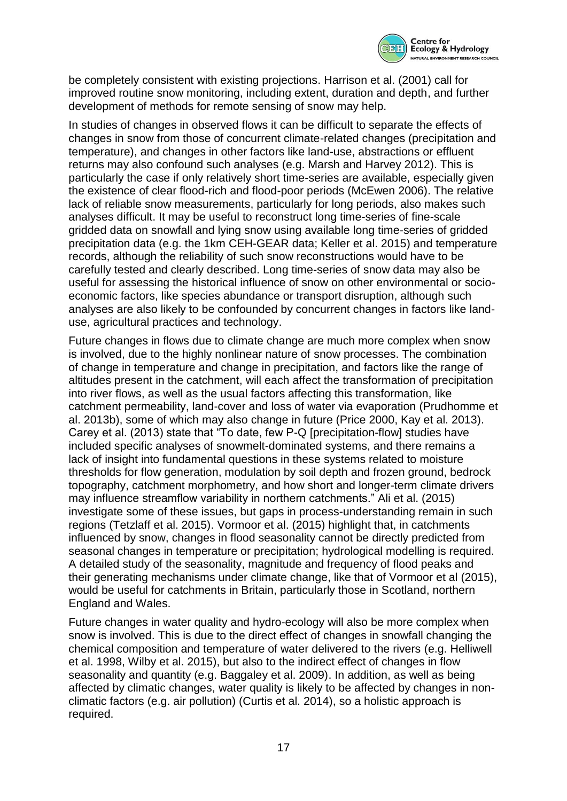

be completely consistent with existing projections. Harrison et al. (2001) call for improved routine snow monitoring, including extent, duration and depth, and further development of methods for remote sensing of snow may help.

In studies of changes in observed flows it can be difficult to separate the effects of changes in snow from those of concurrent climate-related changes (precipitation and temperature), and changes in other factors like land-use, abstractions or effluent returns may also confound such analyses (e.g. Marsh and Harvey 2012). This is particularly the case if only relatively short time-series are available, especially given the existence of clear flood-rich and flood-poor periods (McEwen 2006). The relative lack of reliable snow measurements, particularly for long periods, also makes such analyses difficult. It may be useful to reconstruct long time-series of fine-scale gridded data on snowfall and lying snow using available long time-series of gridded precipitation data (e.g. the 1km CEH-GEAR data; Keller et al. 2015) and temperature records, although the reliability of such snow reconstructions would have to be carefully tested and clearly described. Long time-series of snow data may also be useful for assessing the historical influence of snow on other environmental or socioeconomic factors, like species abundance or transport disruption, although such analyses are also likely to be confounded by concurrent changes in factors like landuse, agricultural practices and technology.

Future changes in flows due to climate change are much more complex when snow is involved, due to the highly nonlinear nature of snow processes. The combination of change in temperature and change in precipitation, and factors like the range of altitudes present in the catchment, will each affect the transformation of precipitation into river flows, as well as the usual factors affecting this transformation, like catchment permeability, land-cover and loss of water via evaporation (Prudhomme et al. 2013b), some of which may also change in future (Price 2000, Kay et al. 2013). Carey et al. (2013) state that "To date, few P-Q [precipitation-flow] studies have included specific analyses of snowmelt-dominated systems, and there remains a lack of insight into fundamental questions in these systems related to moisture thresholds for flow generation, modulation by soil depth and frozen ground, bedrock topography, catchment morphometry, and how short and longer-term climate drivers may influence streamflow variability in northern catchments." Ali et al. (2015) investigate some of these issues, but gaps in process-understanding remain in such regions (Tetzlaff et al. 2015). Vormoor et al. (2015) highlight that, in catchments influenced by snow, changes in flood seasonality cannot be directly predicted from seasonal changes in temperature or precipitation; hydrological modelling is required. A detailed study of the seasonality, magnitude and frequency of flood peaks and their generating mechanisms under climate change, like that of Vormoor et al (2015), would be useful for catchments in Britain, particularly those in Scotland, northern England and Wales.

Future changes in water quality and hydro-ecology will also be more complex when snow is involved. This is due to the direct effect of changes in snowfall changing the chemical composition and temperature of water delivered to the rivers (e.g. Helliwell et al. 1998, Wilby et al. 2015), but also to the indirect effect of changes in flow seasonality and quantity (e.g. Baggaley et al. 2009). In addition, as well as being affected by climatic changes, water quality is likely to be affected by changes in nonclimatic factors (e.g. air pollution) (Curtis et al. 2014), so a holistic approach is required.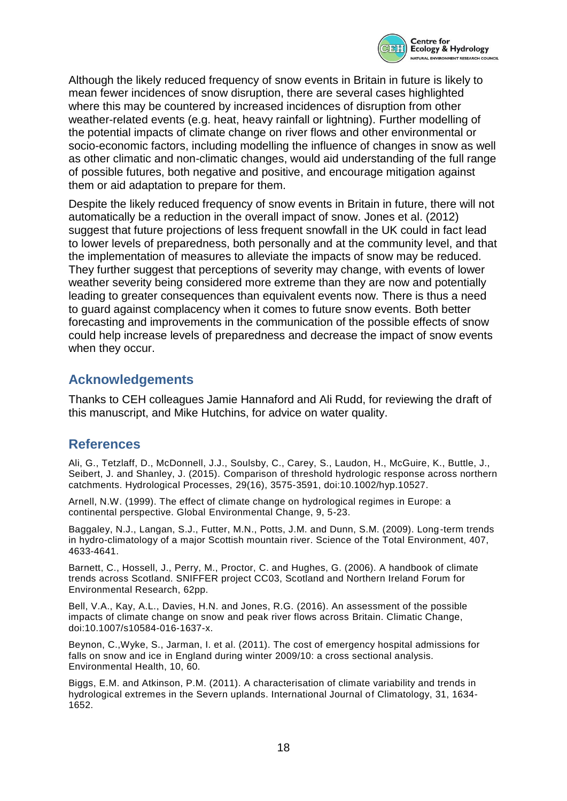

Although the likely reduced frequency of snow events in Britain in future is likely to mean fewer incidences of snow disruption, there are several cases highlighted where this may be countered by increased incidences of disruption from other weather-related events (e.g. heat, heavy rainfall or lightning). Further modelling of the potential impacts of climate change on river flows and other environmental or socio-economic factors, including modelling the influence of changes in snow as well as other climatic and non-climatic changes, would aid understanding of the full range of possible futures, both negative and positive, and encourage mitigation against them or aid adaptation to prepare for them.

Despite the likely reduced frequency of snow events in Britain in future, there will not automatically be a reduction in the overall impact of snow. Jones et al. (2012) suggest that future projections of less frequent snowfall in the UK could in fact lead to lower levels of preparedness, both personally and at the community level, and that the implementation of measures to alleviate the impacts of snow may be reduced. They further suggest that perceptions of severity may change, with events of lower weather severity being considered more extreme than they are now and potentially leading to greater consequences than equivalent events now. There is thus a need to guard against complacency when it comes to future snow events. Both better forecasting and improvements in the communication of the possible effects of snow could help increase levels of preparedness and decrease the impact of snow events when they occur.

## **Acknowledgements**

Thanks to CEH colleagues Jamie Hannaford and Ali Rudd, for reviewing the draft of this manuscript, and Mike Hutchins, for advice on water quality.

## **References**

Ali, G., Tetzlaff, D., McDonnell, J.J., Soulsby, C., Carey, S., Laudon, H., McGuire, K., Buttle, J., Seibert, J. and Shanley, J. (2015). Comparison of threshold hydrologic response across northern catchments. Hydrological Processes, 29(16), 3575-3591, doi:10.1002/hyp.10527.

Arnell, N.W. (1999). The effect of climate change on hydrological regimes in Europe: a continental perspective. Global Environmental Change, 9, 5-23.

Baggaley, N.J., Langan, S.J., Futter, M.N., Potts, J.M. and Dunn, S.M. (2009). Long-term trends in hydro-climatology of a major Scottish mountain river. Science of the Total Environment, 407, 4633-4641.

Barnett, C., Hossell, J., Perry, M., Proctor, C. and Hughes, G. (2006). A handbook of climate trends across Scotland. SNIFFER project CC03, Scotland and Northern Ireland Forum for Environmental Research, 62pp.

Bell, V.A., Kay, A.L., Davies, H.N. and Jones, R.G. (2016). An assessment of the possible impacts of climate change on snow and peak river flows across Britain. Climatic Change, doi:10.1007/s10584-016-1637-x.

Beynon, C.,Wyke, S., Jarman, I. et al. (2011). The cost of emergency hospital admissions for falls on snow and ice in England during winter 2009/10: a cross sectional analysis. Environmental Health, 10, 60.

Biggs, E.M. and Atkinson, P.M. (2011). A characterisation of climate variability and trends in hydrological extremes in the Severn uplands. International Journal of Climatology, 31, 1634- 1652.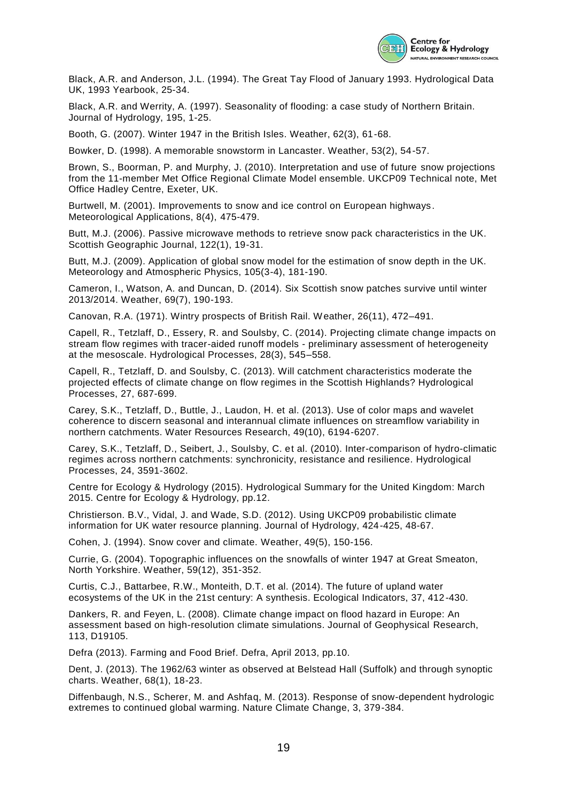

Black, A.R. and Anderson, J.L. (1994). The Great Tay Flood of January 1993. Hydrological Data UK, 1993 Yearbook, 25-34.

Black, A.R. and Werrity, A. (1997). Seasonality of flooding: a case study of Northern Britain. Journal of Hydrology, 195, 1-25.

Booth, G. (2007). Winter 1947 in the British Isles. Weather, 62(3), 61-68.

Bowker, D. (1998). A memorable snowstorm in Lancaster. Weather, 53(2), 54-57.

Brown, S., Boorman, P. and Murphy, J. (2010). Interpretation and use of future snow projections from the 11-member Met Office Regional Climate Model ensemble. UKCP09 Technical note, Met Office Hadley Centre, Exeter, UK.

Burtwell, M. (2001). Improvements to snow and ice control on European highways . Meteorological Applications, 8(4), 475-479.

Butt, M.J. (2006). Passive microwave methods to retrieve snow pack characteristics in the UK. Scottish Geographic Journal, 122(1), 19-31.

Butt, M.J. (2009). Application of global snow model for the estimation of snow depth in the UK. Meteorology and Atmospheric Physics, 105(3-4), 181-190.

Cameron, I., Watson, A. and Duncan, D. (2014). Six Scottish snow patches survive until winter 2013/2014. Weather, 69(7), 190-193.

Canovan, R.A. (1971). Wintry prospects of British Rail. Weather, 26(11), 472–491.

Capell, R., Tetzlaff, D., Essery, R. and Soulsby, C. (2014). Projecting climate change impacts on stream flow regimes with tracer-aided runoff models - preliminary assessment of heterogeneity at the mesoscale. Hydrological Processes, 28(3), 545–558.

Capell, R., Tetzlaff, D. and Soulsby, C. (2013). Will catchment characteristics moderate the projected effects of climate change on flow regimes in the Scottish Highlands? Hydrological Processes, 27, 687-699.

Carey, S.K., Tetzlaff, D., Buttle, J., Laudon, H. et al. (2013). Use of color maps and wavelet coherence to discern seasonal and interannual climate influences on streamflow variability in northern catchments. Water Resources Research, 49(10), 6194-6207.

Carey, S.K., Tetzlaff, D., Seibert, J., Soulsby, C. et al. (2010). Inter-comparison of hydro-climatic regimes across northern catchments: synchronicity, resistance and resilience. Hydrological Processes, 24, 3591-3602.

Centre for Ecology & Hydrology (2015). Hydrological Summary for the United Kingdom: March 2015. Centre for Ecology & Hydrology, pp.12.

Christierson. B.V., Vidal, J. and Wade, S.D. (2012). Using UKCP09 probabilistic climate information for UK water resource planning. Journal of Hydrology, 424-425, 48-67.

Cohen, J. (1994). Snow cover and climate. Weather, 49(5), 150-156.

Currie, G. (2004). Topographic influences on the snowfalls of winter 1947 at Great Smeaton, North Yorkshire. Weather, 59(12), 351-352.

Curtis, C.J., Battarbee, R.W., Monteith, D.T. et al. (2014). The future of upland water ecosystems of the UK in the 21st century: A synthesis. Ecological Indicators, 37, 412-430.

Dankers, R. and Feyen, L. (2008). Climate change impact on flood hazard in Europe: An assessment based on high-resolution climate simulations. Journal of Geophysical Research, 113, D19105.

Defra (2013). Farming and Food Brief. Defra, April 2013, pp.10.

Dent, J. (2013). The 1962/63 winter as observed at Belstead Hall (Suffolk) and through synoptic charts. Weather, 68(1), 18-23.

Diffenbaugh, N.S., Scherer, M. and Ashfaq, M. (2013). Response of snow-dependent hydrologic extremes to continued global warming. Nature Climate Change, 3, 379-384.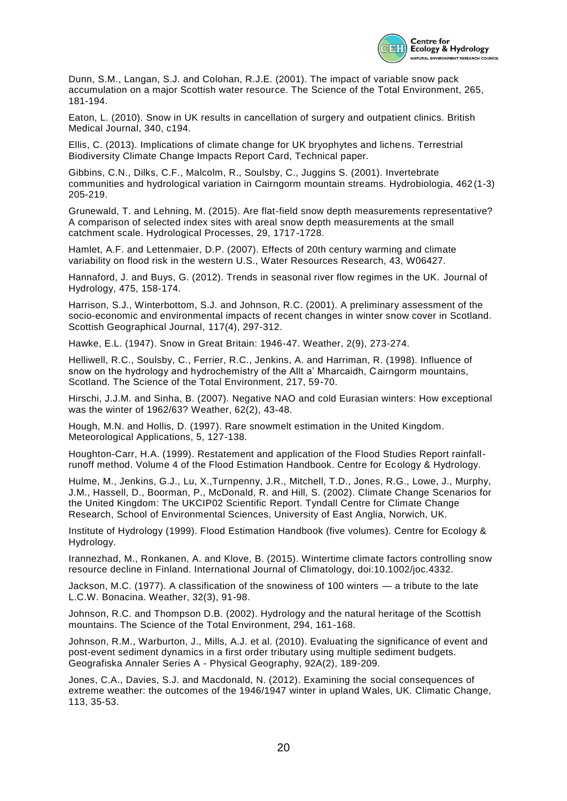

Dunn, S.M., Langan, S.J. and Colohan, R.J.E. (2001). The impact of variable snow pack accumulation on a major Scottish water resource. The Science of the Total Environment, 265, 181-194.

Eaton, L. (2010). Snow in UK results in cancellation of surgery and outpatient clinics. British Medical Journal, 340, c194.

Ellis, C. (2013). Implications of climate change for UK bryophytes and lichens. Terrestrial Biodiversity Climate Change Impacts Report Card, Technical paper.

Gibbins, C.N., Dilks, C.F., Malcolm, R., Soulsby, C., Juggins S. (2001). Invertebrate communities and hydrological variation in Cairngorm mountain streams. Hydrobiologia, 462(1-3) 205-219.

Grunewald, T. and Lehning, M. (2015). Are flat-field snow depth measurements representative? A comparison of selected index sites with areal snow depth measurements at the small catchment scale. Hydrological Processes, 29, 1717-1728.

Hamlet, A.F. and Lettenmaier, D.P. (2007). Effects of 20th century warming and climate variability on flood risk in the western U.S., Water Resources Research, 43, W06427.

Hannaford, J. and Buys, G. (2012). Trends in seasonal river flow regimes in the UK. Journal of Hydrology, 475, 158-174.

Harrison, S.J., Winterbottom, S.J. and Johnson, R.C. (2001). A preliminary assessment of the socio-economic and environmental impacts of recent changes in winter snow cover in Scotland. Scottish Geographical Journal, 117(4), 297-312.

Hawke, E.L. (1947). Snow in Great Britain: 1946-47. Weather, 2(9), 273-274.

Helliwell, R.C., Soulsby, C., Ferrier, R.C., Jenkins, A. and Harriman, R. (1998). Influence of snow on the hydrology and hydrochemistry of the Allt a' Mharcaidh, Cairngorm mountains, Scotland. The Science of the Total Environment, 217, 59-70.

Hirschi, J.J.M. and Sinha, B. (2007). Negative NAO and cold Eurasian winters: How exceptional was the winter of 1962/63? Weather, 62(2), 43-48.

Hough, M.N. and Hollis, D. (1997). Rare snowmelt estimation in the United Kingdom. Meteorological Applications, 5, 127-138.

Houghton-Carr, H.A. (1999). Restatement and application of the Flood Studies Report rainfallrunoff method. Volume 4 of the Flood Estimation Handbook. Centre for Ecology & Hydrology.

Hulme, M., Jenkins, G.J., Lu, X.,Turnpenny, J.R., Mitchell, T.D., Jones, R.G., Lowe, J., Murphy, J.M., Hassell, D., Boorman, P., McDonald, R. and Hill, S. (2002). Climate Change Scenarios for the United Kingdom: The UKCIP02 Scientific Report. Tyndall Centre for Climate Change Research, School of Environmental Sciences, University of East Anglia, Norwich, UK.

Institute of Hydrology (1999). Flood Estimation Handbook (five volumes). Centre for Ecology & Hydrology.

Irannezhad, M., Ronkanen, A. and Klove, B. (2015). Wintertime climate factors controlling snow resource decline in Finland. International Journal of Climatology, doi:10.1002/joc.4332.

Jackson, M.C. (1977). A classification of the snowiness of 100 winters — a tribute to the late L.C.W. Bonacina. Weather, 32(3), 91-98.

Johnson, R.C. and Thompson D.B. (2002). Hydrology and the natural heritage of the Scottish mountains. The Science of the Total Environment, 294, 161-168.

Johnson, R.M., Warburton, J., Mills, A.J. et al. (2010). Evaluating the significance of event and post-event sediment dynamics in a first order tributary using multiple sediment budgets. Geografiska Annaler Series A - Physical Geography, 92A(2), 189-209.

Jones, C.A., Davies, S.J. and Macdonald, N. (2012). Examining the social consequences of extreme weather: the outcomes of the 1946/1947 winter in upland Wales, UK. Climatic Change, 113, 35-53.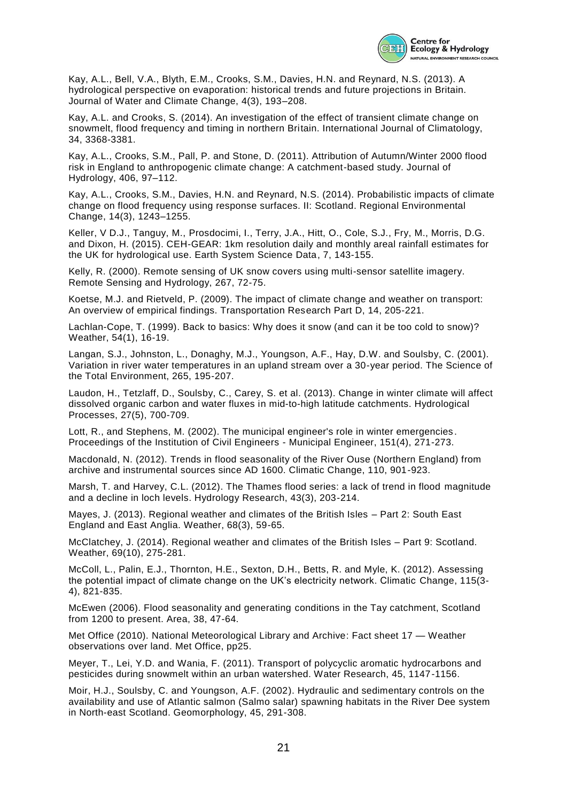

Kay, A.L., Bell, V.A., Blyth, E.M., Crooks, S.M., Davies, H.N. and Reynard, N.S. (2013). A hydrological perspective on evaporation: historical trends and future projections in Britain. Journal of Water and Climate Change, 4(3), 193–208.

Kay, A.L. and Crooks, S. (2014). An investigation of the effect of transient climate change on snowmelt, flood frequency and timing in northern Britain. International Journal of Climatology, 34, 3368-3381.

Kay, A.L., Crooks, S.M., Pall, P. and Stone, D. (2011). Attribution of Autumn/Winter 2000 flood risk in England to anthropogenic climate change: A catchment-based study. Journal of Hydrology, 406, 97–112.

Kay, A.L., Crooks, S.M., Davies, H.N. and Reynard, N.S. (2014). Probabilistic impacts of climate change on flood frequency using response surfaces. II: Scotland. Regional Environmental Change, 14(3), 1243–1255.

Keller, V D.J., Tanguy, M., Prosdocimi, I., Terry, J.A., Hitt, O., Cole, S.J., Fry, M., Morris, D.G. and Dixon, H. (2015). CEH-GEAR: 1km resolution daily and monthly areal rainfall estimates for the UK for hydrological use. Earth System Science Data, 7, 143-155.

Kelly, R. (2000). Remote sensing of UK snow covers using multi-sensor satellite imagery. Remote Sensing and Hydrology, 267, 72-75.

Koetse, M.J. and Rietveld, P. (2009). The impact of climate change and weather on transport: An overview of empirical findings. Transportation Research Part D, 14, 205-221.

Lachlan-Cope, T. (1999). Back to basics: Why does it snow (and can it be too cold to snow)? Weather, 54(1), 16-19.

Langan, S.J., Johnston, L., Donaghy, M.J., Youngson, A.F., Hay, D.W. and Soulsby, C. (2001). Variation in river water temperatures in an upland stream over a 30-year period. The Science of the Total Environment, 265, 195-207.

Laudon, H., Tetzlaff, D., Soulsby, C., Carey, S. et al. (2013). Change in winter climate will affect dissolved organic carbon and water fluxes in mid-to-high latitude catchments. Hydrological Processes, 27(5), 700-709.

Lott, R., and Stephens, M. (2002). The municipal engineer's role in winter emergencies . Proceedings of the Institution of Civil Engineers - Municipal Engineer, 151(4), 271-273.

Macdonald, N. (2012). Trends in flood seasonality of the River Ouse (Northern England) from archive and instrumental sources since AD 1600. Climatic Change, 110, 901-923.

Marsh, T. and Harvey, C.L. (2012). The Thames flood series: a lack of trend in flood magnitude and a decline in loch levels. Hydrology Research, 43(3), 203-214.

Mayes, J. (2013). Regional weather and climates of the British Isles – Part 2: South East England and East Anglia. Weather, 68(3), 59-65.

McClatchey, J. (2014). Regional weather and climates of the British Isles – Part 9: Scotland. Weather, 69(10), 275-281.

McColl, L., Palin, E.J., Thornton, H.E., Sexton, D.H., Betts, R. and Myle, K. (2012). Assessing the potential impact of climate change on the UK's electricity network. Climatic Change, 115(3- 4), 821-835.

McEwen (2006). Flood seasonality and generating conditions in the Tay catchment, Scotland from 1200 to present. Area, 38, 47-64.

Met Office (2010). National Meteorological Library and Archive: Fact sheet 17 — Weather observations over land. Met Office, pp25.

Meyer, T., Lei, Y.D. and Wania, F. (2011). Transport of polycyclic aromatic hydrocarbons and pesticides during snowmelt within an urban watershed. Water Research, 45, 1147-1156.

Moir, H.J., Soulsby, C. and Youngson, A.F. (2002). Hydraulic and sedimentary controls on the availability and use of Atlantic salmon (Salmo salar) spawning habitats in the River Dee system in North-east Scotland. Geomorphology, 45, 291-308.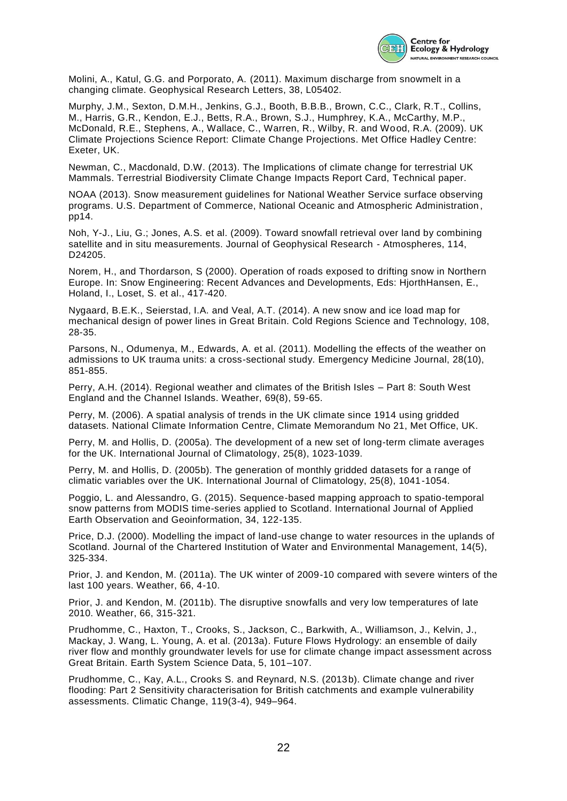

Molini, A., Katul, G.G. and Porporato, A. (2011). Maximum discharge from snowmelt in a changing climate. Geophysical Research Letters, 38, L05402.

Murphy, J.M., Sexton, D.M.H., Jenkins, G.J., Booth, B.B.B., Brown, C.C., Clark, R.T., Collins, M., Harris, G.R., Kendon, E.J., Betts, R.A., Brown, S.J., Humphrey, K.A., McCarthy, M.P., McDonald, R.E., Stephens, A., Wallace, C., Warren, R., Wilby, R. and Wood, R.A. (2009). UK Climate Projections Science Report: Climate Change Projections. Met Office Hadley Centre: Exeter, UK.

Newman, C., Macdonald, D.W. (2013). The Implications of climate change for terrestrial UK Mammals. Terrestrial Biodiversity Climate Change Impacts Report Card, Technical paper.

NOAA (2013). Snow measurement guidelines for National Weather Service surface observing programs. U.S. Department of Commerce, National Oceanic and Atmospheric Administration , pp14.

Noh, Y-J., Liu, G.; Jones, A.S. et al. (2009). Toward snowfall retrieval over land by combining satellite and in situ measurements. Journal of Geophysical Research - Atmospheres, 114, D24205.

Norem, H., and Thordarson, S (2000). Operation of roads exposed to drifting snow in Northern Europe. In: Snow Engineering: Recent Advances and Developments, Eds: HjorthHansen, E., Holand, I., Loset, S. et al., 417-420.

Nygaard, B.E.K., Seierstad, I.A. and Veal, A.T. (2014). A new snow and ice load map for mechanical design of power lines in Great Britain. Cold Regions Science and Technology, 108, 28-35.

Parsons, N., Odumenya, M., Edwards, A. et al. (2011). Modelling the effects of the weather on admissions to UK trauma units: a cross-sectional study. Emergency Medicine Journal, 28(10), 851-855.

Perry, A.H. (2014). Regional weather and climates of the British Isles – Part 8: South West England and the Channel Islands. Weather, 69(8), 59-65.

Perry, M. (2006). A spatial analysis of trends in the UK climate since 1914 using gridded datasets. National Climate Information Centre, Climate Memorandum No 21, Met Office, UK.

Perry, M. and Hollis, D. (2005a). The development of a new set of long-term climate averages for the UK. International Journal of Climatology, 25(8), 1023-1039.

Perry, M. and Hollis, D. (2005b). The generation of monthly gridded datasets for a range of climatic variables over the UK. International Journal of Climatology, 25(8), 1041-1054.

Poggio, L. and Alessandro, G. (2015). Sequence-based mapping approach to spatio-temporal snow patterns from MODIS time-series applied to Scotland. International Journal of Applied Earth Observation and Geoinformation, 34, 122-135.

Price, D.J. (2000). Modelling the impact of land-use change to water resources in the uplands of Scotland. Journal of the Chartered Institution of Water and Environmental Management, 14(5), 325-334.

Prior, J. and Kendon, M. (2011a). The UK winter of 2009-10 compared with severe winters of the last 100 years. Weather, 66, 4-10.

Prior, J. and Kendon, M. (2011b). The disruptive snowfalls and very low temperatures of late 2010. Weather, 66, 315-321.

Prudhomme, C., Haxton, T., Crooks, S., Jackson, C., Barkwith, A., Williamson, J., Kelvin, J., Mackay, J. Wang, L. Young, A. et al. (2013a). Future Flows Hydrology: an ensemble of daily river flow and monthly groundwater levels for use for climate change impact assessment across Great Britain. Earth System Science Data, 5, 101–107.

Prudhomme, C., Kay, A.L., Crooks S. and Reynard, N.S. (2013b). Climate change and river flooding: Part 2 Sensitivity characterisation for British catchments and example vulnerability assessments. Climatic Change, 119(3-4), 949–964.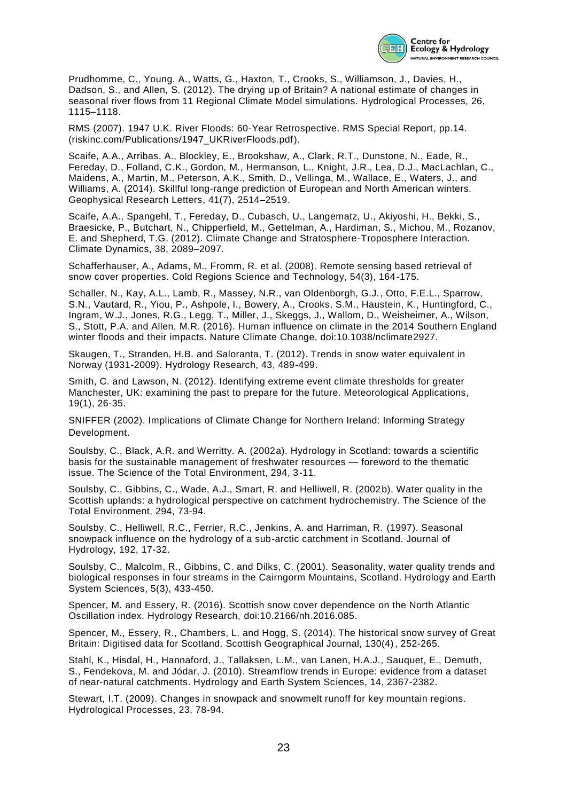

Prudhomme, C., Young, A., Watts, G., Haxton, T., Crooks, S., Williamson, J., Davies, H., Dadson, S., and Allen, S. (2012). The drying up of Britain? A national estimate of changes in seasonal river flows from 11 Regional Climate Model simulations. Hydrological Processes, 26, 1115–1118.

RMS (2007). 1947 U.K. River Floods: 60-Year Retrospective. RMS Special Report, pp.14. (riskinc.com/Publications/1947\_UKRiverFloods.pdf).

Scaife, A.A., Arribas, A., Blockley, E., Brookshaw, A., Clark, R.T., Dunstone, N., Eade, R., Fereday, D., Folland, C.K., Gordon, M., Hermanson, L., Knight, J.R., Lea, D.J., MacLachlan, C., Maidens, A., Martin, M., Peterson, A.K., Smith, D., Vellinga, M., Wallace, E., Waters, J., and Williams, A. (2014). Skillful long-range prediction of European and North American winters. Geophysical Research Letters, 41(7), 2514–2519.

Scaife, A.A., Spangehl, T., Fereday, D., Cubasch, U., Langematz, U., Akiyoshi, H., Bekki, S., Braesicke, P., Butchart, N., Chipperfield, M., Gettelman, A., Hardiman, S., Michou, M., Rozanov, E. and Shepherd, T.G. (2012). Climate Change and Stratosphere-Troposphere Interaction. Climate Dynamics, 38, 2089–2097.

Schafferhauser, A., Adams, M., Fromm, R. et al. (2008). Remote sensing based retrieval of snow cover properties. Cold Regions Science and Technology, 54(3), 164-175.

Schaller, N., Kay, A.L., Lamb, R., Massey, N.R., van Oldenborgh, G.J., Otto, F.E.L., Sparrow, S.N., Vautard, R., Yiou, P., Ashpole, I., Bowery, A., Crooks, S.M., Haustein, K., Huntingford, C., Ingram, W.J., Jones, R.G., Legg, T., Miller, J., Skeggs, J., Wallom, D., Weisheimer, A., Wilson, S., Stott, P.A. and Allen, M.R. (2016). Human influence on climate in the 2014 Southern England winter floods and their impacts. Nature Climate Change, doi:10.1038/nclimate2927.

Skaugen, T., Stranden, H.B. and Saloranta, T. (2012). Trends in snow water equivalent in Norway (1931-2009). Hydrology Research, 43, 489-499.

Smith, C. and Lawson, N. (2012). Identifying extreme event climate thresholds for greater Manchester, UK: examining the past to prepare for the future. Meteorological Applications, 19(1), 26-35.

SNIFFER (2002). Implications of Climate Change for Northern Ireland: Informing Strategy Development.

Soulsby, C., Black, A.R. and Werritty. A. (2002a). Hydrology in Scotland: towards a scientific basis for the sustainable management of freshwater resources — foreword to the thematic issue. The Science of the Total Environment, 294, 3-11.

Soulsby, C., Gibbins, C., Wade, A.J., Smart, R. and Helliwell, R. (2002b). Water quality in the Scottish uplands: a hydrological perspective on catchment hydrochemistry. The Science of the Total Environment, 294, 73-94.

Soulsby, C., Helliwell, R.C., Ferrier, R.C., Jenkins, A. and Harriman, R. (1997). Seasonal snowpack influence on the hydrology of a sub-arctic catchment in Scotland. Journal of Hydrology, 192, 17-32.

Soulsby, C., Malcolm, R., Gibbins, C. and Dilks, C. (2001). Seasonality, water quality trends and biological responses in four streams in the Cairngorm Mountains, Scotland. Hydrology and Earth System Sciences, 5(3), 433-450.

Spencer, M. and Essery, R. (2016). Scottish snow cover dependence on the North Atlantic Oscillation index. Hydrology Research, doi:10.2166/nh.2016.085.

Spencer, M., Essery, R., Chambers, L. and Hogg, S. (2014). The historical snow survey of Great Britain: Digitised data for Scotland. Scottish Geographical Journal, 130(4), 252-265.

Stahl, K., Hisdal, H., Hannaford, J., Tallaksen, L.M., van Lanen, H.A.J., Sauquet, E., Demuth, S., Fendekova, M. and Jódar, J. (2010). Streamflow trends in Europe: evidence from a dataset of near-natural catchments. Hydrology and Earth System Sciences, 14, 2367-2382.

Stewart, I.T. (2009). Changes in snowpack and snowmelt runoff for key mountain regions. Hydrological Processes, 23, 78-94.